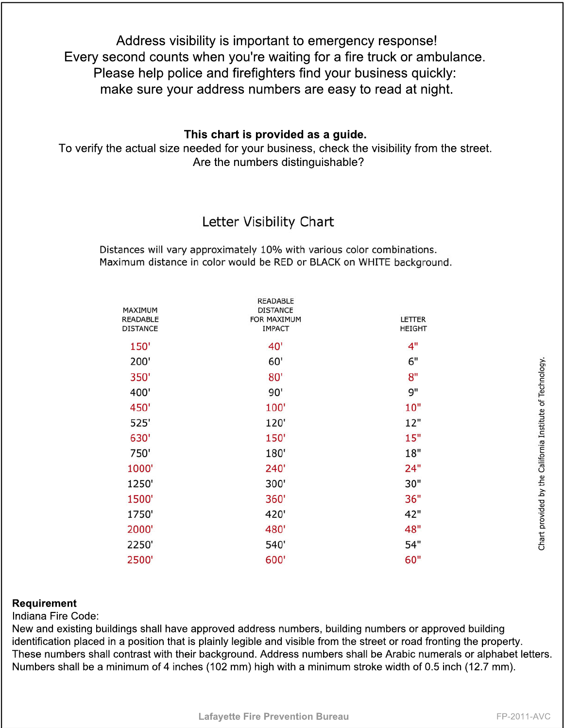Address visibility is important to emergency response! Every second counts when you're waiting for a fire truck or ambulance. Please help police and firefighters find your business quickly: make sure your address numbers are easy to read at night.

## **This chart is provided as a guide.**

To verify the actual size needed for your business, check the visibility from the street. Are the numbers distinguishable?

## Letter Visibility Chart

Distances will vary approximately 10% with various color combinations. Maximum distance in color would be RED or BLACK on WHITE background.

| MAXIMUM<br><b>READABLE</b><br><b>DISTANCE</b> | <b>READABLE</b><br><b>DISTANCE</b><br>FOR MAXIMUM<br><b>IMPACT</b> | <b>LETTER</b><br><b>HEIGHT</b> |
|-----------------------------------------------|--------------------------------------------------------------------|--------------------------------|
| 150'                                          | 40'                                                                | 4"                             |
| 200'                                          | 60'                                                                | 6"                             |
| 350'                                          | 80'                                                                | 8"                             |
| 400'                                          | 90'                                                                | 9"                             |
| 450'                                          | 100'                                                               | 10"                            |
| 525'                                          | 120'                                                               | 12"                            |
| 630'                                          | 150'                                                               | 15"                            |
| 750'                                          | 180'                                                               | 18"                            |
| 1000'                                         | 240'                                                               | 24"                            |
| 1250'                                         | 300'                                                               | 30"                            |
| 1500'                                         | 360'                                                               | 36"                            |
| 1750'                                         | 420'                                                               | 42"                            |
| 2000'                                         | 480'                                                               | 48"                            |
| 2250'                                         | 540'                                                               | 54"                            |
| 2500'                                         | 600'                                                               | 60"                            |

## **Requirement**

Indiana Fire Code:

New and existing buildings shall have approved address numbers, building numbers or approved building identification placed in a position that is plainly legible and visible from the street or road fronting the property. These numbers shall contrast with their background. Address numbers shall be Arabic numerals or alphabet letters. Numbers shall be a minimum of 4 inches (102 mm) high with a minimum stroke width of 0.5 inch (12.7 mm).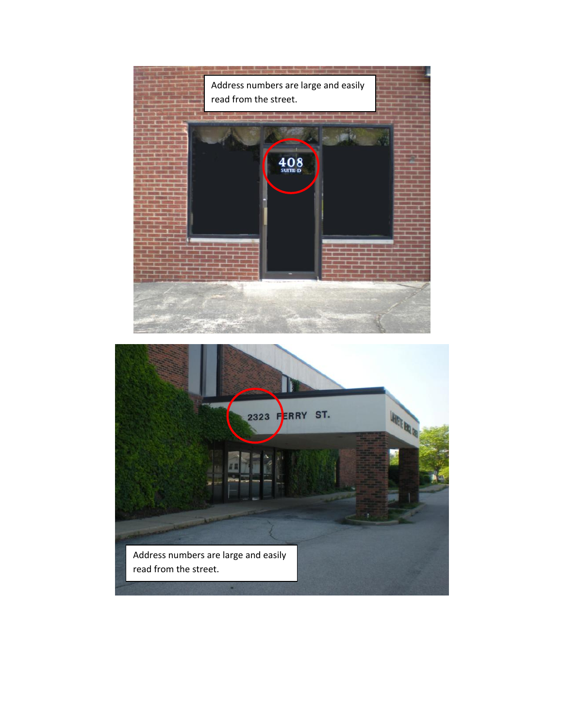